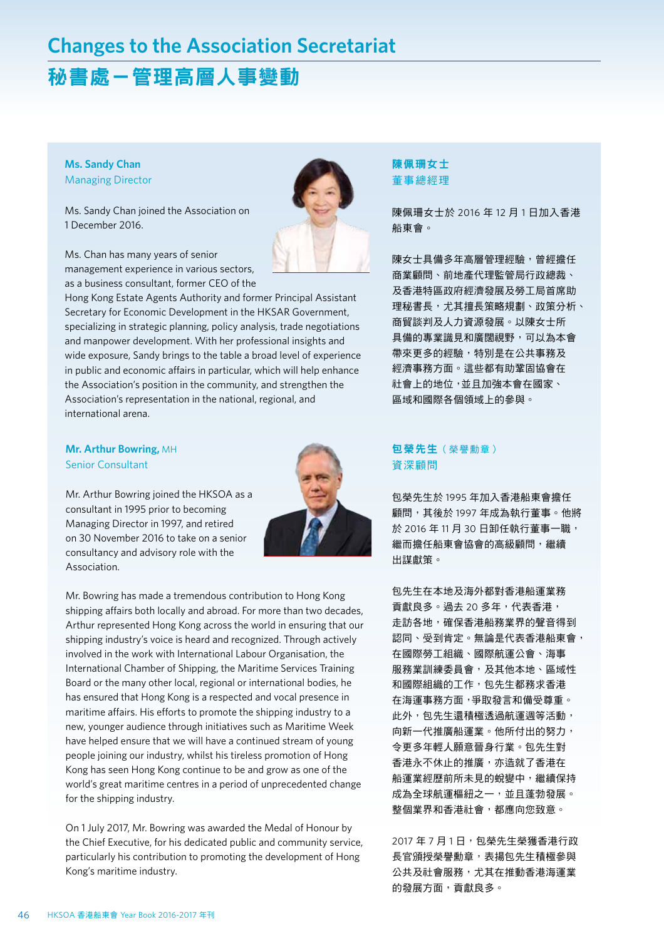# **Changes to the Association Secretariat**

## 秘書處-管理高層人事變動

#### **Ms. Sandy Chan** Managing Director

Ms. Sandy Chan joined the Association on 1 December 2016.



Ms. Chan has many years of senior management experience in various sectors, as a business consultant, former CEO of the

Hong Kong Estate Agents Authority and former Principal Assistant Secretary for Economic Development in the HKSAR Government, specializing in strategic planning, policy analysis, trade negotiations and manpower development. With her professional insights and wide exposure, Sandy brings to the table a broad level of experience in public and economic affairs in particular, which will help enhance the Association's position in the community, and strengthen the Association's representation in the national, regional, and international arena.

#### **Mr. Arthur Bowring,** MH Senior Consultant

Mr. Arthur Bowring joined the HKSOA as a consultant in 1995 prior to becoming Managing Director in 1997, and retired on 30 November 2016 to take on a senior consultancy and advisory role with the Association.



Mr. Bowring has made a tremendous contribution to Hong Kong shipping affairs both locally and abroad. For more than two decades, Arthur represented Hong Kong across the world in ensuring that our shipping industry's voice is heard and recognized. Through actively involved in the work with International Labour Organisation, the International Chamber of Shipping, the Maritime Services Training Board or the many other local, regional or international bodies, he has ensured that Hong Kong is a respected and vocal presence in maritime affairs. His efforts to promote the shipping industry to a new, younger audience through initiatives such as Maritime Week have helped ensure that we will have a continued stream of young people joining our industry, whilst his tireless promotion of Hong Kong has seen Hong Kong continue to be and grow as one of the world's great maritime centres in a period of unprecedented change for the shipping industry.

On 1 July 2017, Mr. Bowring was awarded the Medal of Honour by the Chief Executive, for his dedicated public and community service, particularly his contribution to promoting the development of Hong Kong's maritime industry.

#### 陳佩珊女士 董事總經理

陳佩珊女士於 2016 年 12 月 1 日加入香港 船東會。

陳女士具備多年高層管理經驗,曾經擔任 商業顧問、前地產代理監管局行政總裁、 及香港特區政府經濟發展及勞工局首席助 理秘書長,尤其擅長策略規劃、政策分析、 商貿談判及人力資源發展。以陳女士所 具備的專業識見和廣闊視野,可以為本會 帶來更多的經驗,特別是在公共事務及 經濟事務方面。這些都有助鞏固協會在 社會上的地位,並且加強本會在國家、 區域和國際各個領域上的參與。

#### 包榮先生 (榮譽勳章) 資深顧問

包榮先生於 1995 年加入香港船東會擔任 顧問,其後於 1997 年成為執行董事。他將 於 2016 年 11 月 30 日卸任執行董事一職, 繼而擔任船東會協會的高級顧問,繼續 出謀獻策。

包先生在本地及海外都對香港船運業務 貢獻良多。過去 20 多年,代表香港, 走訪各地,確保香港船務業界的聲音得到 認同、受到肯定。無論是代表香港船東會, 在國際勞工組織、國際航運公會、海事 服務業訓練委員會,及其他本地、區域性 和國際組織的工作,包先生都務求香港 在海運事務方面,爭取發言和備受尊重。 此外,包先生還積極透過航運週等活動, 向新一代推廣船運業。他所付出的努力, 令更多年輕人願意晉身行業。包先生對 香港永不休止的推廣,亦造就了香港在 船運業經歷前所未見的蛻變中,繼續保持 成為全球航運樞紐之一,並且蓬勃發展。 整個業界和香港社會,都應向您致意。

2017年7月1日,包榮先生榮獲香港行政 長官頒授榮譽勳章,表揚包先生積極參與 公共及社會服務, 尤其在推動香港海運業 的發展方面,貢獻良多。